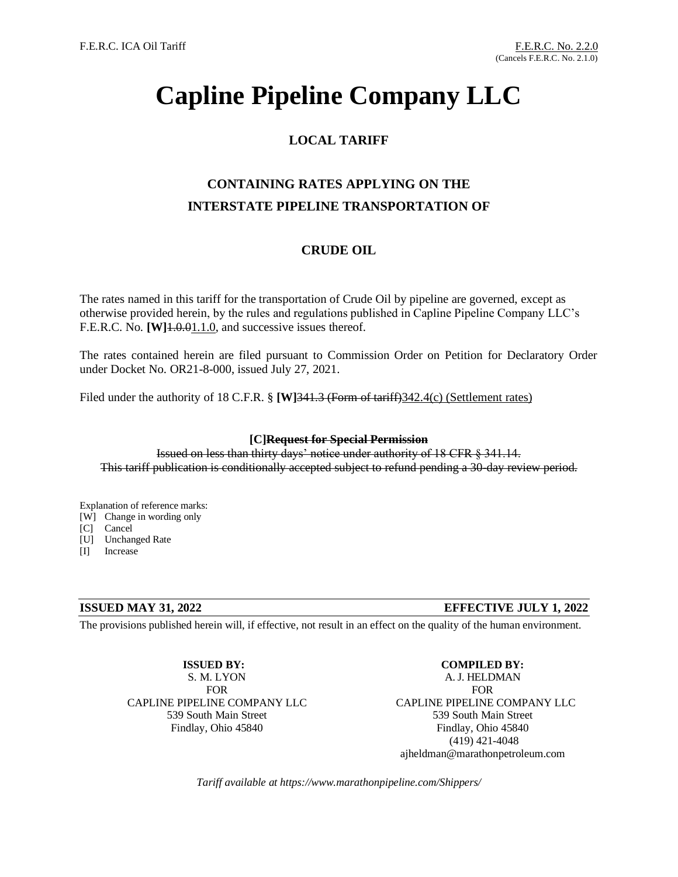# **Capline Pipeline Company LLC**

## **LOCAL TARIFF**

## **CONTAINING RATES APPLYING ON THE INTERSTATE PIPELINE TRANSPORTATION OF**

## **CRUDE OIL**

The rates named in this tariff for the transportation of Crude Oil by pipeline are governed, except as otherwise provided herein, by the rules and regulations published in Capline Pipeline Company LLC's F.E.R.C. No. **[W]**1.0.01.1.0, and successive issues thereof.

The rates contained herein are filed pursuant to Commission Order on Petition for Declaratory Order under Docket No. OR21-8-000, issued July 27, 2021.

Filed under the authority of 18 C.F.R. § [W]341.3 (Form of tariff) 342.4(c) (Settlement rates)

## **[C]Request for Special Permission**

Issued on less than thirty days' notice under authority of 18 CFR § 341.14. This tariff publication is conditionally accepted subject to refund pending a 30-day review period.

Explanation of reference marks:

- [W] Change in wording only
- [C] Cancel
- [U] Unchanged Rate
- [I] Increase

## **ISSUED MAY 31, 2022 EFFECTIVE JULY 1, 2022**

The provisions published herein will, if effective, not result in an effect on the quality of the human environment.

**ISSUED BY:** S. M. LYON FOR CAPLINE PIPELINE COMPANY LLC 539 South Main Street Findlay, Ohio 45840

**COMPILED BY:** A. J. HELDMAN FOR CAPLINE PIPELINE COMPANY LLC 539 South Main Street Findlay, Ohio 45840 (419) 421-4048 ajheldman@marathonpetroleum.com

*Tariff available at https://www.marathonpipeline.com/Shippers/*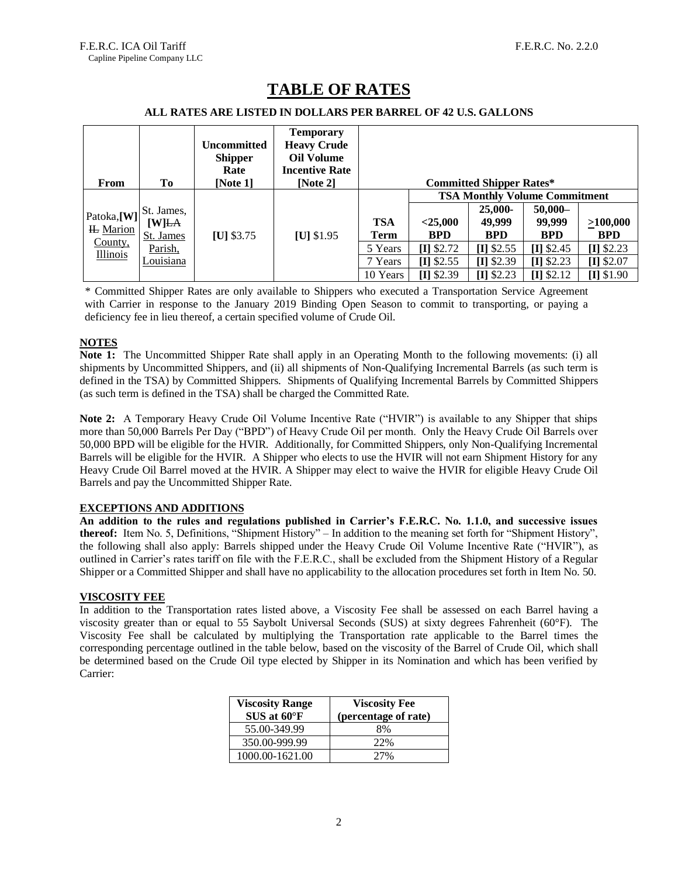| From                                                         | To         | <b>Uncommitted</b><br><b>Shipper</b><br>Rate<br>[Note 1] | <b>Temporary</b><br><b>Heavy Crude</b><br><b>Oil Volume</b><br><b>Incentive Rate</b><br>[Note $2$ ] |            |                                      | <b>Committed Shipper Rates*</b> |              |              |  |
|--------------------------------------------------------------|------------|----------------------------------------------------------|-----------------------------------------------------------------------------------------------------|------------|--------------------------------------|---------------------------------|--------------|--------------|--|
| Patoka,[W]<br><b>IL</b> Marion<br>County,<br><b>Illinois</b> |            |                                                          | $[U]$ \$1.95                                                                                        |            | <b>TSA Monthly Volume Commitment</b> |                                 |              |              |  |
|                                                              | St. James, | $[U]$ \$3.75                                             |                                                                                                     |            |                                      | 25,000-                         | $50,000-$    |              |  |
|                                                              | [W]LA      |                                                          |                                                                                                     | <b>TSA</b> | $<$ 25,000                           | 49,999                          | 99,999       | >100,000     |  |
|                                                              | St. James  |                                                          |                                                                                                     | Term       | <b>BPD</b>                           | <b>BPD</b>                      | <b>BPD</b>   | <b>BPD</b>   |  |
|                                                              | Parish,    |                                                          |                                                                                                     | 5 Years    | $[I]$ \$2.72                         | $[I]$ \$2.55                    | $[I]$ \$2.45 | $[I]$ \$2.23 |  |
|                                                              | Louisiana  |                                                          |                                                                                                     | 7 Years    | $[I]$ \$2.55                         | $[I]$ \$2.39                    | $[I]$ \$2.23 | $[I]$ \$2.07 |  |
|                                                              |            |                                                          |                                                                                                     | 10 Years   | $[I]$ \$2.39                         | $[I]$ \$2.23                    | $[I]$ \$2.12 | $[I]$ \$1.90 |  |

## **TABLE OF RATES**

### **ALL RATES ARE LISTED IN DOLLARS PER BARREL OF 42 U.S. GALLONS**

\* Committed Shipper Rates are only available to Shippers who executed a Transportation Service Agreement with Carrier in response to the January 2019 Binding Open Season to commit to transporting, or paying a deficiency fee in lieu thereof, a certain specified volume of Crude Oil.

## **NOTES**

**Note 1:** The Uncommitted Shipper Rate shall apply in an Operating Month to the following movements: (i) all shipments by Uncommitted Shippers, and (ii) all shipments of Non-Qualifying Incremental Barrels (as such term is defined in the TSA) by Committed Shippers. Shipments of Qualifying Incremental Barrels by Committed Shippers (as such term is defined in the TSA) shall be charged the Committed Rate.

**Note 2:** A Temporary Heavy Crude Oil Volume Incentive Rate ("HVIR") is available to any Shipper that ships more than 50,000 Barrels Per Day ("BPD") of Heavy Crude Oil per month. Only the Heavy Crude Oil Barrels over 50,000 BPD will be eligible for the HVIR. Additionally, for Committed Shippers, only Non-Qualifying Incremental Barrels will be eligible for the HVIR. A Shipper who elects to use the HVIR will not earn Shipment History for any Heavy Crude Oil Barrel moved at the HVIR. A Shipper may elect to waive the HVIR for eligible Heavy Crude Oil Barrels and pay the Uncommitted Shipper Rate.

## **EXCEPTIONS AND ADDITIONS**

**An addition to the rules and regulations published in Carrier's F.E.R.C. No. 1.1.0, and successive issues thereof:** Item No. 5, Definitions, "Shipment History" – In addition to the meaning set forth for "Shipment History", the following shall also apply: Barrels shipped under the Heavy Crude Oil Volume Incentive Rate ("HVIR"), as outlined in Carrier's rates tariff on file with the F.E.R.C., shall be excluded from the Shipment History of a Regular Shipper or a Committed Shipper and shall have no applicability to the allocation procedures set forth in Item No. 50.

## **VISCOSITY FEE**

In addition to the Transportation rates listed above, a Viscosity Fee shall be assessed on each Barrel having a viscosity greater than or equal to 55 Saybolt Universal Seconds (SUS) at sixty degrees Fahrenheit (60°F). The Viscosity Fee shall be calculated by multiplying the Transportation rate applicable to the Barrel times the corresponding percentage outlined in the table below, based on the viscosity of the Barrel of Crude Oil, which shall be determined based on the Crude Oil type elected by Shipper in its Nomination and which has been verified by Carrier:

| <b>Viscosity Range</b><br>$SUS$ at $60^{\circ}F$ | <b>Viscosity Fee</b><br>(percentage of rate) |
|--------------------------------------------------|----------------------------------------------|
| 55.00-349.99                                     | 8%                                           |
| 350.00-999.99                                    | 22%                                          |
| 1000.00-1621.00                                  | 27%                                          |